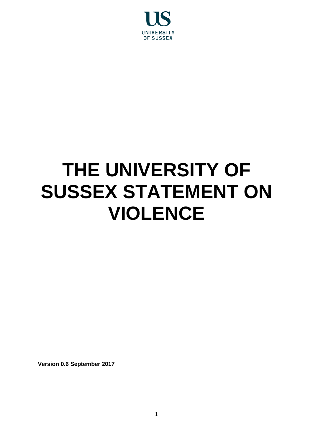

# **THE UNIVERSITY OF SUSSEX STATEMENT ON VIOLENCE**

**Version 0.6 September 2017**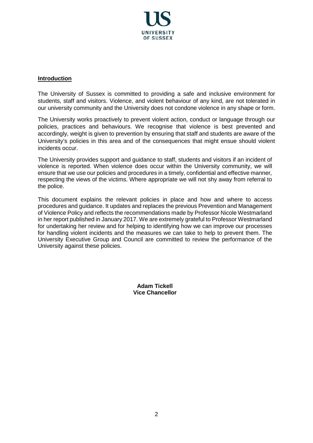

#### **Introduction**

The University of Sussex is committed to providing a safe and inclusive environment for students, staff and visitors. Violence, and violent behaviour of any kind, are not tolerated in our university community and the University does not condone violence in any shape or form.

The University works proactively to prevent violent action, conduct or language through our policies, practices and behaviours. We recognise that violence is best prevented and accordingly, weight is given to prevention by ensuring that staff and students are aware of the University's policies in this area and of the consequences that might ensue should violent incidents occur.

The University provides support and guidance to staff, students and visitors if an incident of violence is reported. When violence does occur within the University community, we will ensure that we use our policies and procedures in a timely, confidential and effective manner, respecting the views of the victims. Where appropriate we will not shy away from referral to the police.

This document explains the relevant policies in place and how and where to access procedures and guidance. It updates and replaces the previous Prevention and Management of Violence Policy and reflects the recommendations made by Professor Nicole Westmarland in her report published in January 2017. We are extremely grateful to Professor Westmarland for undertaking her review and for helping to identifying how we can improve our processes for handling violent incidents and the measures we can take to help to prevent them. The University Executive Group and Council are committed to review the performance of the University against these policies.

> **Adam Tickell Vice Chancellor**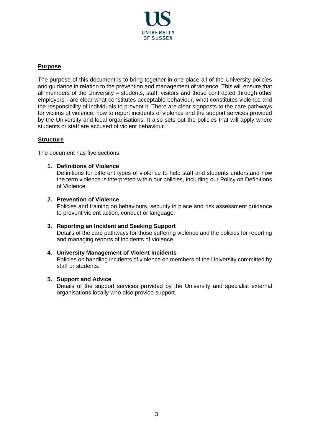

# **Purpose**

The purpose of this document is to bring together in one place all of the University policies and guidance in relation to the prevention and management of violence. This will ensure that all members of the University – students, staff, visitors and those contracted through other employers - are clear what constitutes acceptable behaviour, what constitutes violence and the responsibility of individuals to prevent it. There are clear signposts to the care pathways for victims of violence, how to report incidents of violence and the support services provided by the University and local organisations. It also sets out the policies that will apply where students or staff are accused of violent behaviour.

#### **Structure**

The document has five sections:

#### **1. Definitions of Violence**

Definitions for different types of violence to help staff and students understand how the term violence is interpreted within our policies, including our Policy on Definitions of Violence.

#### **2. Prevention of Violence**

Policies and training on behaviours, security in place and risk assessment guidance to prevent violent action, conduct or language.

**3. Reporting an Incident and Seeking Support** Details of the care pathways for those suffering violence and the policies for reporting and managing reports of incidents of violence.

# **4. University Management of Violent Incidents**

Policies on handling incidents of violence on members of the University committed by staff or students.

#### **5. Support and Advice**

Details of the support services provided by the University and specialist external organisations locally who also provide support.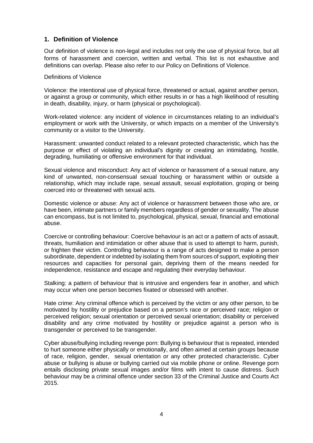# **1. Definition of Violence**

Our definition of violence is non-legal and includes not only the use of physical force, but all forms of harassment and coercion, written and verbal. This list is not exhaustive and definitions can overlap. Please also refer to our Policy on Definitions of Violence.

Definitions of Violence

Violence: the intentional use of physical force, threatened or actual, against another person, or against a group or community, which either results in or has a high likelihood of resulting in death, disability, injury, or harm (physical or psychological).

Work-related violence: any incident of violence in circumstances relating to an individual's employment or work with the University, or which impacts on a member of the University's community or a visitor to the University.

Harassment: unwanted conduct related to a relevant protected characteristic, which has the purpose or effect of violating an individual's dignity or creating an intimidating, hostile, degrading, humiliating or offensive environment for that individual.

Sexual violence and misconduct: Any act of violence or harassment of a sexual nature, any kind of unwanted, non-consensual sexual touching or harassment within or outside a relationship, which may include rape, sexual assault, sexual exploitation, groping or being coerced into or threatened with sexual acts.

Domestic violence or abuse: Any act of violence or harassment between those who are, or have been, intimate partners or family members regardless of gender or sexuality. The abuse can encompass, but is not limited to, psychological, physical, sexual, financial and emotional abuse.

Coercive or controlling behaviour: Coercive behaviour is an act or a pattern of acts of assault, threats, humiliation and intimidation or other abuse that is used to attempt to harm, punish, or frighten their victim. Controlling behaviour is a range of acts designed to make a person subordinate, dependent or indebted by isolating them from sources of support, exploiting their resources and capacities for personal gain, depriving them of the means needed for independence, resistance and escape and regulating their everyday behaviour.

Stalking: a pattern of behaviour that is intrusive and engenders fear in another, and which may occur when one person becomes fixated or obsessed with another.

Hate crime: Any criminal offence which is perceived by the victim or any other person, to be motivated by hostility or prejudice based on a person's race or perceived race; religion or perceived religion; sexual orientation or perceived sexual orientation; disability or perceived disability and any crime motivated by hostility or prejudice against a person who is transgender or perceived to be transgender.

Cyber abuse/bullying including revenge porn: Bullying is behaviour that is repeated, intended to hurt someone either physically or emotionally, and often aimed at certain groups because of race, religion, gender, sexual orientation or any other protected characteristic. Cyber abuse or bullying is abuse or bullying carried out via mobile phone or online. Revenge porn entails disclosing private sexual images and/or films with intent to cause distress. Such behaviour may be a criminal offence under section 33 of the Criminal Justice and Courts Act 2015.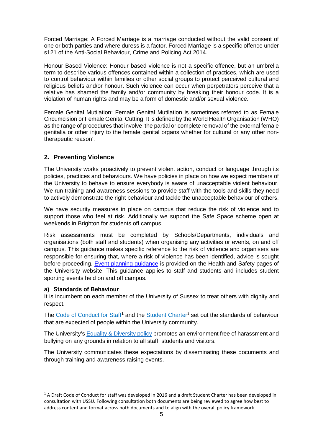Forced Marriage: A Forced Marriage is a marriage conducted without the valid consent of one or both parties and where duress is a factor. Forced Marriage is a specific offence under s121 of the Anti-Social Behaviour, Crime and Policing Act 2014.

Honour Based Violence: Honour based violence is not a specific offence, but an umbrella term to describe various offences contained within a collection of practices, which are used to control behaviour within families or other social groups to protect perceived cultural and religious beliefs and/or honour. Such violence can occur when perpetrators perceive that a relative has shamed the family and/or community by breaking their honour code. It is a violation of human rights and may be a form of domestic and/or sexual violence.

Female Genital Mutilation: Female Genital Mutilation is sometimes referred to as Female Circumcision or Female Genital Cutting. It is defined by the World Health Organisation (WHO) as the range of procedures that involve 'the partial or complete removal of the external female genitalia or other injury to the female genital organs whether for cultural or any other nontherapeutic reason'.

# **2. Preventing Violence**

The University works proactively to prevent violent action, conduct or language through its policies, practices and behaviours. We have policies in place on how we expect members of the University to behave to ensure everybody is aware of unacceptable violent behaviour. We run training and awareness sessions to provide staff with the tools and skills they need to actively demonstrate the right behaviour and tackle the unacceptable behaviour of others.

We have security measures in place on campus that reduce the risk of violence and to support those who feel at risk. Additionally we support the Safe Space scheme open at weekends in Brighton for students off campus.

Risk assessments must be completed by Schools/Departments, individuals and organisations (both staff and students) when organising any activities or events, on and off campus. This guidance makes specific reference to the risk of violence and organisers are responsible for ensuring that, where a risk of violence has been identified, advice is sought before proceeding. [Event planning guidance](http://www.sussex.ac.uk/hso/specialist/riskass/eventplanningriskassessment) is provided on the Health and Safety pages of the University website. This guidance applies to staff and students and includes student sporting events held on and off campus.

#### **a) Standards of Behaviour**

-

It is incumbent on each member of the University of Sussex to treat others with dignity and respect.

The Code of Conduct for Staff<sup>[1](#page-4-0)</sup> and the Student Charter<sup>1</sup> set out the standards of behaviour that are expected of people within the University community.

The University's [Equality & Diversity policy](https://www.sussex.ac.uk/webteam/gateway/file.php?name=equalitydiversitypolicy.pdf&site=30%5d) promotes an environment free of harassment and bullying on any grounds in relation to all staff, students and visitors.

The University communicates these expectations by disseminating these documents and through training and awareness raising events.

<span id="page-4-0"></span><sup>&</sup>lt;sup>1</sup> A Draft Code of Conduct for staff was developed in 2016 and a draft Student Charter has been developed in consultation with USSU. Following consultation both documents are being reviewed to agree how best to address content and format across both documents and to align with the overall policy framework.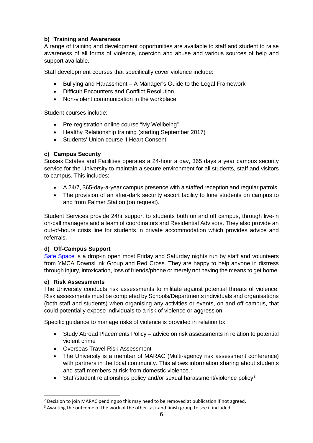# **b) Training and Awareness**

A range of training and development opportunities are available to staff and student to raise awareness of all forms of violence, coercion and abuse and various sources of help and support available.

Staff development courses that specifically cover violence include:

- Bullying and Harassment A Manager's Guide to the Legal Framework
- Difficult Encounters and Conflict Resolution
- Non-violent communication in the workplace

Student courses include:

- Pre-registration online course "My Wellbeing"
- Healthy Relationship training (starting September 2017)
- Students' Union course 'I Heart Consent'

## **c) Campus Security**

Sussex Estates and Facilities operates a 24-hour a day, 365 days a year campus security service for the University to maintain a secure environment for all students, staff and visitors to campus. This includes:

- A 24/7, 365-day-a-year campus presence with a staffed reception and regular patrols.
- The provision of an after-dark security escort facility to lone students on campus to and from Falmer Station (on request).

Student Services provide 24hr support to students both on and off campus, through live-in on-call managers and a team of coordinators and Residential Advisors. They also provide an out-of-hours crisis line for students in private accommodation which provides advice and referrals.

# **d) Off-Campus Support**

[Safe Space](http://www.ymcadlg.org/support-advice/safe-space/) is a drop-in open most Friday and Saturday nights run by staff and volunteers from YMCA DownsLink Group and Red Cross. They are happy to help anyone in distress through injury, intoxication, loss of friends/phone or merely not having the means to get home.

#### **e) Risk Assessments**

-

The University conducts risk assessments to militate against potential threats of violence. Risk assessments must be completed by Schools/Departments individuals and organisations (both staff and students) when organising any activities or events, on and off campus, that could potentially expose individuals to a risk of violence or aggression.

Specific guidance to manage risks of violence is provided in relation to:

- Study Abroad Placements Policy advice on risk assessments in relation to potential violent crime
- Overseas Travel Risk Assessment
- The University is a member of MARAC (Multi-agency risk assessment conference) with partners in the local community. This allows information sharing about students and staff members at risk from domestic violence.<sup>[2](#page-5-0)</sup>
- Staff/student relationships policy and/or sexual harassment/violence policy<sup>[3](#page-5-1)</sup>

<span id="page-5-0"></span><sup>&</sup>lt;sup>2</sup> Decision to join MARAC pending so this may need to be removed at publication if not agreed.

<span id="page-5-1"></span> $3$  Awaiting the outcome of the work of the other task and finish group to see if included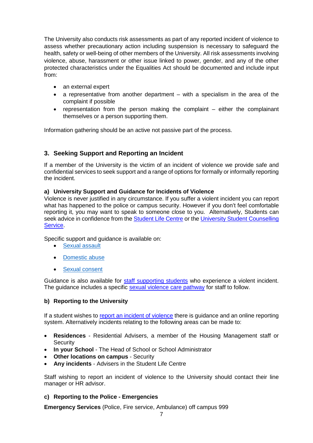The University also conducts risk assessments as part of any reported incident of violence to assess whether precautionary action including suspension is necessary to safeguard the health, safety or well-being of other members of the University. All risk assessments involving violence, abuse, harassment or other issue linked to power, gender, and any of the other protected characteristics under the Equalities Act should be documented and include input from:

- an external expert
- a representative from another department with a specialism in the area of the complaint if possible
- representation from the person making the complaint either the complainant themselves or a person supporting them.

Information gathering should be an active not passive part of the process.

# **3. Seeking Support and Reporting an Incident**

If a member of the University is the victim of an incident of violence we provide safe and confidential services to seek support and a range of options for formally or informally reporting the incident.

#### **a) University Support and Guidance for Incidents of Violence**

Violence is never justified in any circumstance. If you suffer a violent incident you can report what has happened to the police or campus security. However if you don't feel comfortable reporting it, you may want to speak to someone close to you. Alternatively, Students can seek advice in confidence from the [Student Life Centre](http://www.sussex.ac.uk/studentlifecentre/) or the University Student Counselling [Service.](http://www.sussex.ac.uk/counselling/appointments)

Specific support and guidance is available on:

- [Sexual assault](http://www.sussex.ac.uk/wellbeing/sexualassault)
- [Domestic abuse](http://www.sussex.ac.uk/wellbeing/domesticabuse)
- [Sexual consent](http://www.sussex.ac.uk/wellbeing/sexualconsent)

Guidance is also available for [staff supporting students](http://www.sussex.ac.uk/wellbeing/safety/staffguidance) who experience a violent incident. The guidance includes a specific [sexual violence care pathway](https://www.sussex.ac.uk/webteam/gateway/file.php?name=responding-to-sexual-violence-care-pathway-april-2016-final.pdf&site=392) for staff to follow.

#### **b) Reporting to the University**

If a student wishes to [report an incident of violence](http://www.sussex.ac.uk/ogs/policies/student-discipline/overview) there is guidance and an online reporting system. Alternatively incidents relating to the following areas can be made to:

- **Residences** Residential Advisers, a member of the Housing Management staff or **Security**
- **In your School** The Head of School or School Administrator
- **Other locations on campus** Security
- **Any incidents** Advisers in the Student Life Centre

Staff wishing to report an incident of violence to the University should contact their line manager or HR advisor.

**c) Reporting to the Police - Emergencies**

**Emergency Services** (Police, Fire service, Ambulance) off campus 999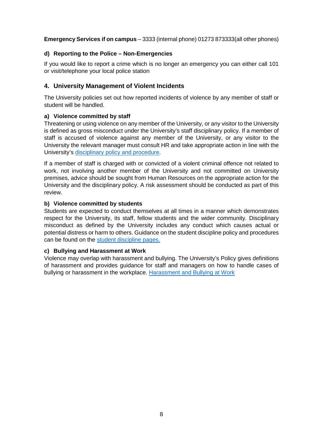# **Emergency Services if on campus** – 3333 (internal phone) 01273 873333(all other phones)

## **d) Reporting to the Police – Non-Emergencies**

If you would like to report a crime which is no longer an emergency you can either call 101 or visit/telephone your local police station

# **4. University Management of Violent Incidents**

The University policies set out how reported incidents of violence by any member of staff or student will be handled.

## **a) Violence committed by staff**

Threatening or using violence on any member of the University, or any visitor to the University is defined as gross misconduct under the University's staff disciplinary policy. If a member of staff is accused of violence against any member of the University, or any visitor to the University the relevant manager must consult HR and take appropriate action in line with the University's [disciplinary policy](https://www.sussex.ac.uk/webteam/gateway/file.php?name=disciplinaryprocedure.pdf&site=302) and procedure.

If a member of staff is charged with or convicted of a violent criminal offence not related to work, not involving another member of the University and not committed on University premises, advice should be sought from Human Resources on the appropriate action for the University and the disciplinary policy. A risk assessment should be conducted as part of this review.

## **b) Violence committed by students**

Students are expected to conduct themselves at all times in a manner which demonstrates respect for the University, its staff, fellow students and the wider community. Disciplinary misconduct as defined by the University includes any conduct which causes actual or potential distress or harm to others. Guidance on the student discipline policy and procedures can be found on the [student discipline pages.](http://www.sussex.ac.uk/ogs/policies/student-discipline)

#### **c) Bullying and Harassment at Work**

Violence may overlap with harassment and bullying. The University's Policy gives definitions of harassment and provides guidance for staff and managers on how to handle cases of bullying or harassment in the workplace. [Harassment and Bullying at Work](https://www.sussex.ac.uk/webteam/gateway/file.php?name=harassment-policy)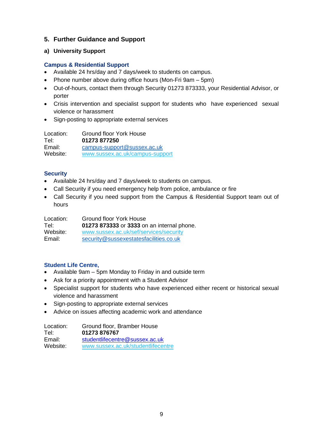# **5. Further Guidance and Support**

## **a) University Support**

#### **Campus & Residential Support**

- Available 24 hrs/day and 7 days/week to students on campus.
- Phone number above during office hours (Mon-Fri 9am 5pm)
- Out-of-hours, contact them through Security 01273 873333, your Residential Advisor, or porter
- Crisis intervention and specialist support for students who have experienced sexual violence or harassment
- Sign-posting to appropriate external services

Location: Ground floor York House Tel: **01273 877250** Email: [campus-support@sussex.ac.uk](mailto:campus-support@sussex.ac.uk)<br>Website: www.sussex.ac.uk/campus-supp Website: [www.sussex.ac.uk/campus-support](http://www.sussex.ac.uk/campus-support)

## **Security**

- Available 24 hrs/day and 7 days/week to students on campus.
- Call Security if you need emergency help from police, ambulance or fire
- Call Security if you need support from the Campus & Residential Support team out of hours

| Location: | Ground floor York House                    |
|-----------|--------------------------------------------|
| Tel:      | 01273 873333 or 3333 on an internal phone. |
| Website:  | www.sussex.ac.uk/sef/services/security     |
| Email:    | security@sussexestatesfacilities.co.uk     |

# **Student Life Centre,**

- Available 9am 5pm Monday to Friday in and outside term
- Ask for a priority appointment with a Student Advisor
- Specialist support for students who have experienced either recent or historical sexual violence and harassment
- Sign-posting to appropriate external services
- Advice on issues affecting academic work and attendance

| Location: | Ground floor, Bramber House        |
|-----------|------------------------------------|
| Tel:      | 01273 876767                       |
| Email:    | studentlifecentre@sussex.ac.uk     |
| Website:  | www.sussex.ac.uk/studentlifecentre |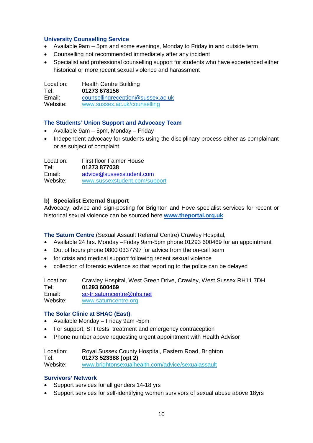## **University Counselling Service**

- Available 9am 5pm and some evenings, Monday to Friday in and outside term
- Counselling not recommended immediately after any incident
- Specialist and professional counselling support for students who have experienced either historical or more recent sexual violence and harassment

Location: Health Centre Building<br>Tel: 01273 678156 Tel: **01273 678156** Email: [counsellingreception@sussex.ac.uk](mailto:counsellingreception@sussex.ac.uk)<br>Website: www.sussex.ac.uk/counselling [www.sussex.ac.uk/counselling](http://www.sussex.ac.uk/counselling)

## **The Students' Union Support and Advocacy Team**

- Available 9am 5pm, Monday Friday
- Independent advocacy for students using the disciplinary process either as complainant or as subject of complaint

Location: First floor Falmer House<br>Tel: **01273 877038** Tel: **01273 877038** [advice@sussexstudent.com](mailto:advice@sussexstudent.com) Website: [www.sussexstudent.com/support](http://www.sussexstudent.com/support)

## **b) Specialist External Support**

Advocacy, advice and sign-posting for Brighton and Hove specialist services for recent or historical sexual violence can be sourced here **[www.theportal.org.uk](http://www.theportal.org.uk/)**

**The Saturn Centre** (Sexual Assault Referral Centre) Crawley Hospital,

- Available 24 hrs. Monday –Friday 9am-5pm phone 01293 600469 for an appointment
- Out of hours phone 0800 0337797 for advice from the on-call team
- for crisis and medical support following recent sexual violence
- collection of forensic evidence so that reporting to the police can be delayed

Location: Crawley Hospital, West Green Drive, Crawley, West Sussex RH11 7DH<br>Tel: 01293 600469 Tel: **01293 600469** Email: [sc-tr.saturncentre@nhs.net](mailto:sc-tr.saturncentre@nhs.net)<br>Website: www.saturncentre.org [www.saturncentre.org](http://www.saturncentre.org/)

#### **The Solar Clinic at SHAC (East)**,

- Available Monday Friday 9am -5pm
- For support, STI tests, treatment and emergency contraception
- Phone number above requesting urgent appointment with Health Advisor

| Location: | Royal Sussex County Hospital, Eastern Road, Brighton |
|-----------|------------------------------------------------------|
| Tel:      | 01273 523388 (opt 2)                                 |
| Website:  | www.brightonsexualhealth.com/advice/sexualassault    |

#### **Survivors' Network**

- Support services for all genders 14-18 yrs
- Support services for self-identifying women survivors of sexual abuse above 18yrs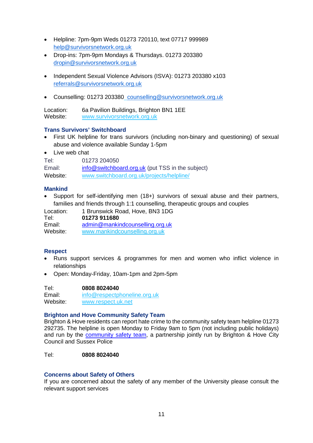- Helpline: 7pm-9pm Weds 01273 720110, text 07717 999989 [help@survivorsnetwork.org.uk](mailto:help@survivorsnetwork.org.uk)
- Drop-ins: 7pm-9pm Mondays & Thursdays. 01273 203380 [dropin@survivorsnetwork.org.uk](mailto:dropin@survivorsnetwork.org.uk)
- Independent Sexual Violence Advisors (ISVA): 01273 203380 x103 [referrals@survivorsnetwork.org.uk](mailto:referrals@survivorsnetwork.org.uk)
- Counselling: 01273 203380 [counselling@survivorsnetwork.org.uk](mailto:counselling@survivorsnetwork.org.uk)

Location: 6a Pavilion Buildings, Brighton BN1 1EE Website: [www.survivorsnetwork.org.uk](http://www.survivorsnetwork.org.uk/)

## **Trans Survivors' Switchboard**

- First UK helpline for trans survivors (including non-binary and questioning) of sexual abuse and violence available Sunday 1-5pm
- Live web chat

| Tel:     | 01273 204050                                     |
|----------|--------------------------------------------------|
| Email:   | info@switchboard.org.uk (put TSS in the subject) |
| Website: | www.switchboard.org.uk/projects/helpline/        |

# **Mankind**

• Support for self-identifying men (18+) survivors of sexual abuse and their partners, families and friends through 1:1 counselling, therapeutic groups and couples

| Location:<br>Tel: | 1 Brunswick Road, Hove, BN3 1DG<br>01273 911680 |
|-------------------|-------------------------------------------------|
| Email:            | admin@mankindcounselling.org.uk                 |
| Website:          | www.mankindcounselling.org.uk                   |

# **Respect**

- Runs support services & programmes for men and women who inflict violence in relationships
- Open: Monday-Friday, 10am-1pm and 2pm-5pm

| Tel:     | 0808 8024040                 |
|----------|------------------------------|
| Email:   | info@respectphoneline.org.uk |
| Website: | www.respect.uk.net           |

#### **Brighton and Hove Community Safety Team**

Brighton & Hove residents can report hate crime to the community safety team helpline 01273 292735. The helpline is open Monday to Friday 9am to 5pm (not including public holidays) and run by the [community safety team,](http://www.safeinthecity.info/getting-help) a partnership jointly run by Brighton & Hove City Council and Sussex Police

## Tel: **0808 8024040**

#### **Concerns about Safety of Others**

If you are concerned about the safety of any member of the University please consult the relevant support services